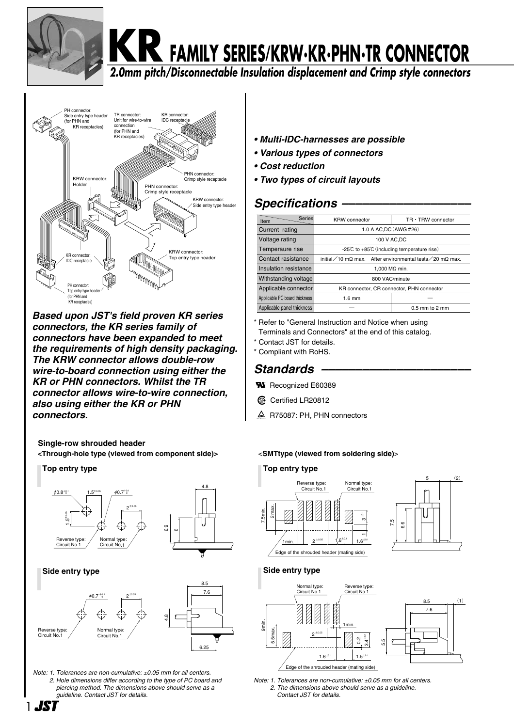

# **KR FAMILY SERIES/KRW・KR・PHN・TR CONNECTOR**

**2.0mm pitch/Disconnectable Insulation displacement and Crimp style connectors**



*Based upon JST's field proven KR series connectors, the KR series family of connectors have been expanded to meet the requirements of high density packaging. The KRW connector allows double-row wire-to-board connection using either the KR or PHN connectors. Whilst the TR connector allows wire-to-wire connection, also using either the KR or PHN connectors.*

**Single-row shrouded header**

**<Through-hole type (viewed from component side)>** <**SMTtype (viewed from soldering side)**>



*Note: 1. Tolerances are non-cumulative:* ±*0.05 mm for all centers. 2. Hole dimensions differ according to the type of PC board and piercing method. The dimensions above should serve as a guideline. Contact JST for details.*

6.25

Normal type:� Circuit No.1

- *Multi-IDC-harnesses are possible*
- *Various types of connectors*
- *Cost reduction*
- *Two types of circuit layouts*

#### *Specifications –––––––––––––––––––*

| $TR \cdot TRW$ connector<br><b>KRW</b> connector                |                                           |  |  |  |
|-----------------------------------------------------------------|-------------------------------------------|--|--|--|
| 1.0 A AC.DC (AWG #26)                                           |                                           |  |  |  |
|                                                                 | 100 V AC.DC                               |  |  |  |
| -25 $\degree$ C to +85 $\degree$ C (including temperature rise) |                                           |  |  |  |
| initial / 10 mΩ max. After environmental tests / 20 mΩ max.     |                                           |  |  |  |
| 1.000 $M\Omega$ min.                                            |                                           |  |  |  |
| 800 VAC/minute                                                  |                                           |  |  |  |
|                                                                 | KR connector, CR connector, PHN connector |  |  |  |
| Applicable PC board thickness<br>$1.6$ mm                       |                                           |  |  |  |
| $0.5$ mm to $2$ mm                                              |                                           |  |  |  |
| Series                                                          |                                           |  |  |  |

- \* Refer to "General Instruction and Notice when using
- Terminals and Connectors" at the end of this catalog.
- \* Contact JST for details. \* Compliant with RoHS.

### *Standards ––––––––––––––––––––––*

- **W** Recognized E60389
- **1** Certified LR20812
- A R75087: PH, PHN connectors

#### **Top entry type**





#### **Side entry type**



*Note: 1. Tolerances are non-cumulative:* ±*0.05 mm for all centers. 2. The dimensions above should serve as a guideline. Contact JST for details.*



leverse type Circuit No.<sup>1</sup>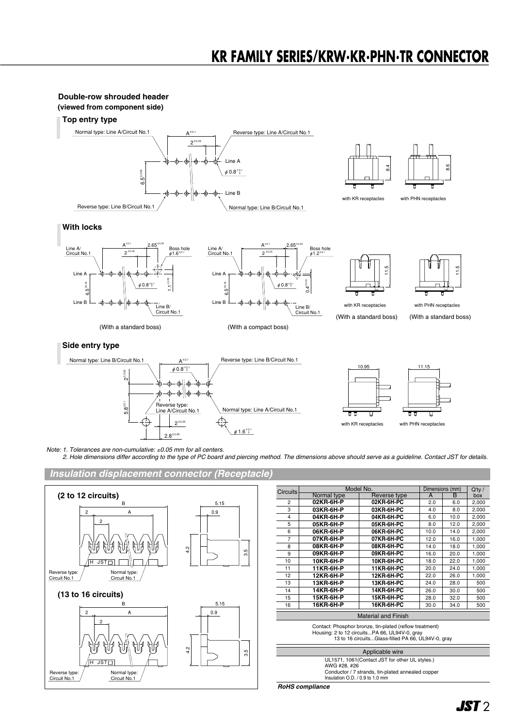



*Note: 1. Tolerances are non-cumulative:* ±*0.05 mm for all centers.*

*2. Hole dimensions differ according to the type of PC board and piercing method. The dimensions above should serve as a guideline. Contact JST for details.*

#### *Insulation displacement connector (Receptacle)*



| <b>Circuits</b>                                                                                                                                                |                 | Model No.                  |      | Dimensions (mm) |                  |  |  |  |
|----------------------------------------------------------------------------------------------------------------------------------------------------------------|-----------------|----------------------------|------|-----------------|------------------|--|--|--|
|                                                                                                                                                                | Normal type     | Reverse type               | A    | в               | $Q'$ ty /<br>box |  |  |  |
| $\mathbf{2}$                                                                                                                                                   | 02KR-6H-P       | 02KR-6H-PC                 | 2.0  | 6.0             | 2,000            |  |  |  |
| 3                                                                                                                                                              | 03KR-6H-P       | 03KR-6H-PC                 | 4.0  | 8.0             | 2,000            |  |  |  |
| 4                                                                                                                                                              | 04KR-6H-P       | 04KR-6H-PC                 | 6.0  | 10.0            | 2,000            |  |  |  |
| 5                                                                                                                                                              | 05KR-6H-P       | 05KR-6H-PC                 | 8.0  | 12.0            | 2,000            |  |  |  |
| 6                                                                                                                                                              | 06KR-6H-P       | 06KR-6H-PC                 | 10.0 | 14.0            | 2,000            |  |  |  |
| $\overline{7}$                                                                                                                                                 | 07KR-6H-P       | 07KR-6H-PC                 | 12.0 | 16.0            | 1,000            |  |  |  |
| 8                                                                                                                                                              | 08KR-6H-P       | 08KR-6H-PC                 | 14.0 | 18.0            | 1,000            |  |  |  |
| 9                                                                                                                                                              | 09KR-6H-P       | 09KR-6H-PC                 | 16.0 | 20.0            | 1,000            |  |  |  |
| 10                                                                                                                                                             | 10KR-6H-P       | 10KR-6H-PC                 | 18.0 | 22.0            | 1,000            |  |  |  |
| 11                                                                                                                                                             | 11KR-6H-P       | 11KR-6H-PC                 | 20.0 | 24.0            | 1,000            |  |  |  |
| 12                                                                                                                                                             | 12KR-6H-P       | 12KR-6H-PC                 | 22.0 | 26.0            | 1,000            |  |  |  |
| 13                                                                                                                                                             | 13KR-6H-P       | 13KR-6H-PC                 | 24.0 | 28.0            | 500              |  |  |  |
| 14                                                                                                                                                             | 14KR-6H-P       | 14KR-6H-PC                 | 26.0 | 30.0            | 500              |  |  |  |
| 15                                                                                                                                                             | 15KR-6H-P       | 15KR-6H-PC                 | 28.0 | 32.0            | 500              |  |  |  |
| 16                                                                                                                                                             | 16KR-6H-P       | 16KR-6H-PC                 | 30.0 | 34.0            | 500              |  |  |  |
|                                                                                                                                                                |                 | <b>Material and Finish</b> |      |                 |                  |  |  |  |
| Contact: Phosphor bronze, tin-plated (reflow treatment)<br>Housing: 2 to 12 circuitsPA 66, UL94V-0, gray<br>13 to 16 circuitsGlass-filled PA 66, UL94V-0, gray |                 |                            |      |                 |                  |  |  |  |
|                                                                                                                                                                | Applicable wire |                            |      |                 |                  |  |  |  |

UL1571, 1061(Contact JST for other UL styles.)

Conductor / 7 strands, tin-plated annealed copper Insulation O.D. / 0.9 to 1.0 mm *RoHS compliance*

AWG #28, #26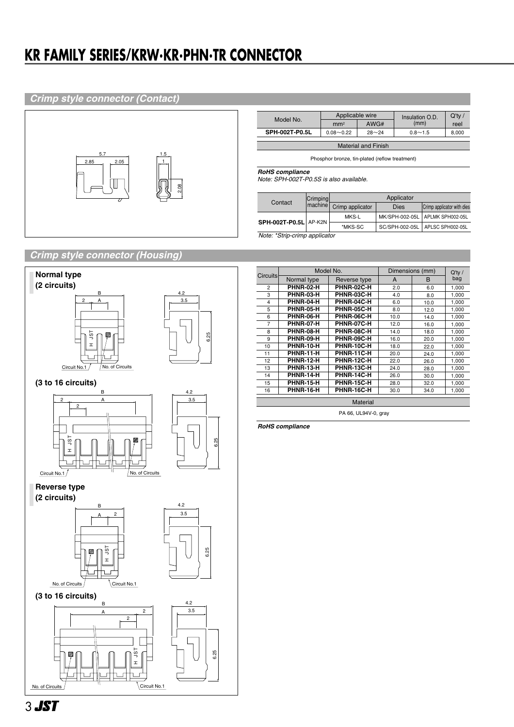## **KR FAMILY SERIES/KRW・KR・PHN・TR CONNECTOR**

#### *Crimp style connector (Contact)*



|                            | Applicable wire            |      | Insulation O.D. | $Q'$ ty / |  |  |  |  |
|----------------------------|----------------------------|------|-----------------|-----------|--|--|--|--|
| Model No.                  | mm <sup>2</sup>            | AWG# | (mm)            | reel      |  |  |  |  |
| SPH-002T-P0.5L             | $28 - 24$<br>$0.08 - 0.22$ |      | $0.8 - 1.5$     | 8.000     |  |  |  |  |
|                            |                            |      |                 |           |  |  |  |  |
| <b>Material and Finish</b> |                            |      |                 |           |  |  |  |  |

Phosphor bronze, tin-plated (reflow treatment)

*RoHS compliance*

*Note: SPH-002T-P0.5S is also available.*

| Contact                       | Crimping | Applicator       |             |                                   |  |  |
|-------------------------------|----------|------------------|-------------|-----------------------------------|--|--|
|                               | machine  | Crimp applicator | <b>Dies</b> | Crimp applicator with dies        |  |  |
| SPH-002T-P0.5L AP-K2N         |          | MKS-L            |             | MK/SPH-002-05L   APLMK SPH002-05L |  |  |
|                               |          | *MKS-SC          |             | SC/SPH-002-05L   APLSC SPH002-05L |  |  |
| Note: *Strip-crimp applicator |          |                  |             |                                   |  |  |

#### *Crimp style connector (Housing)*



|                      | Model No.        |              | Dimensions (mm) | $Q'$ ty / |       |  |  |
|----------------------|------------------|--------------|-----------------|-----------|-------|--|--|
| <b>Circuits</b>      | Normal type      | Reverse type | A               | в         | bag   |  |  |
| $\overline{2}$       | PHNR-02-H        | PHNR-02C-H   | 2.0             | 6.0       | 1,000 |  |  |
| 3                    | PHNR-03-H        | PHNR-03C-H   | 4.0             | 8.0       | 1,000 |  |  |
| 4                    | PHNR-04-H        | PHNR-04C-H   | 6.0             | 10.0      | 1,000 |  |  |
| 5                    | PHNR-05-H        | PHNR-05C-H   | 8.0             | 12.0      | 1,000 |  |  |
| 6                    | PHNR-06-H        | PHNR-06C-H   | 10.0            | 14.0      | 1,000 |  |  |
| 7                    | <b>PHNR-07-H</b> | PHNR-07C-H   | 12.0            | 16.0      | 1,000 |  |  |
| 8                    | <b>PHNR-08-H</b> | PHNR-08C-H   | 14.0            | 18.0      | 1,000 |  |  |
| 9                    | PHNR-09-H        | PHNR-09C-H   | 16.0            | 20.0      | 1,000 |  |  |
| 10                   | <b>PHNR-10-H</b> | PHNR-10C-H   | 18.0            | 22.0      | 1,000 |  |  |
| 11                   | <b>PHNR-11-H</b> | PHNR-11C-H   | 20.0            | 24.0      | 1,000 |  |  |
| 12                   | <b>PHNR-12-H</b> | PHNR-12C-H   | 22.0            | 26.0      | 1,000 |  |  |
| 13                   | <b>PHNR-13-H</b> | PHNR-13C-H   | 24.0            | 28.0      | 1,000 |  |  |
| 14                   | <b>PHNR-14-H</b> | PHNR-14C-H   | 26.0            | 30.0      | 1,000 |  |  |
| 15                   | <b>PHNR-15-H</b> | PHNR-15C-H   | 28.0            | 32.0      | 1,000 |  |  |
| 16                   | <b>PHNR-16-H</b> | PHNR-16C-H   | 30.0            | 34.0      | 1,000 |  |  |
| <b>Material</b>      |                  |              |                 |           |       |  |  |
| PA 66, UL94V-0, gray |                  |              |                 |           |       |  |  |

*RoHS compliance*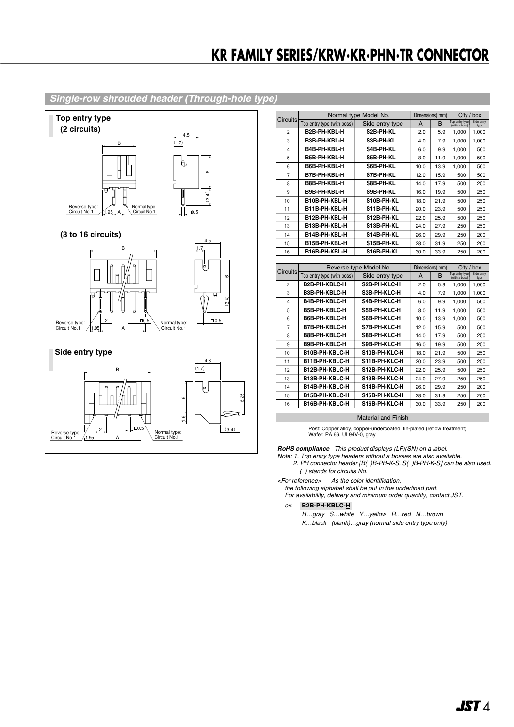#### Single-row shrouded header (Through-hole type)



| <b>Circuits</b> | Normal type Model No.      |                        | Dimensions(mm) |      | $Q'$ ty /<br>box                |                    |
|-----------------|----------------------------|------------------------|----------------|------|---------------------------------|--------------------|
|                 | Top entry type (with boss) | Side entry type        | A              | в    | Top entry type<br>(with a boss) | Side entry<br>type |
| 2               | B2B-PH-KBL-H               | S2B-PH-KL              | 2.0            | 5.9  | 1,000                           | 1,000              |
| 3               | B3B-PH-KBL-H               | S3B-PH-KL              | 4.0            | 7.9  | 1,000                           | 1,000              |
| 4               | B4B-PH-KBL-H               | S4B-PH-KL              | 6.0            | 9.9  | 1,000                           | 500                |
| 5               | B5B-PH-KBL-H               | S5B-PH-KL              | 8.0            | 11.9 | 1,000                           | 500                |
| 6               | B6B-PH-KBL-H               | S6B-PH-KL              | 10.0           | 13.9 | 1,000                           | 500                |
| $\overline{7}$  | B7B-PH-KBL-H               | S7B-PH-KL              | 12.0           | 15.9 | 500                             | 500                |
| 8               | B8B-PH-KBL-H               | S8B-PH-KL              | 14.0           | 17.9 | 500                             | 250                |
| 9               | B9B-PH-KBL-H               | S9B-PH-KL              | 16.0           | 19.9 | 500                             | 250                |
| 10              | B10B-PH-KBL-H              | S10B-PH-KL             | 18.0           | 21.9 | 500                             | 250                |
| 11              | B11B-PH-KBL-H              | S11B-PH-KL             | 20.0           | 23.9 | 500                             | 250                |
| 12              | B12B-PH-KBL-H              | S12B-PH-KL             | 22.0           | 25.9 | 500                             | 250                |
| 13              | B13B-PH-KBL-H              | S13B-PH-KL             | 24.0           | 27.9 | 250                             | 250                |
| 14              | B14B-PH-KBL-H              | S14B-PH-KL             | 26.0           | 29.9 | 250                             | 200                |
| 15              | B15B-PH-KBL-H              | S15B-PH-KL             | 28.0           | 31.9 | 250                             | 200                |
| 16              | B16B-PH-KBL-H              | S16B-PH-KL             | 30.0           | 33.9 | 250                             | 200                |
|                 |                            |                        |                |      |                                 |                    |
|                 |                            |                        |                |      |                                 |                    |
|                 |                            | Reverse type Model No. | Dimensions(mm) |      | Q'tv                            | box                |
| <b>Circuits</b> | Top entry type (with boss) | Side entry type        | A              | B    | Top entry type<br>(with a boss) | Side entry<br>type |
| 2               | B2B-PH-KBLC-H              | S2B-PH-KLC-H           | 2.0            | 5.9  | 1,000                           | 1,000              |
| 3               | B3B-PH-KBLC-H              | S3B-PH-KLC-H           | 4.0            | 7.9  | 1,000                           | 1,000              |
| 4               | B4B-PH-KBLC-H              | S4B-PH-KLC-H           | 6.0            | 9.9  | 1,000                           | 500                |
| 5               | B5B-PH-KBLC-H              | S5B-PH-KLC-H           | 8.0            | 11.9 | 1,000                           | 500                |
| 6               | B6B-PH-KBLC-H              | S6B-PH-KLC-H           | 10.0           | 13.9 | 1,000                           | 500                |
| $\overline{7}$  | B7B-PH-KBLC-H              | S7B-PH-KLC-H           | 12.0           | 15.9 | 500                             | 500                |
| 8               | B8B-PH-KBLC-H              | S8B-PH-KLC-H           | 14.0           | 17.9 | 500                             | 250                |
| 9               | B9B-PH-KBLC-H              | S9B-PH-KLC-H           | 16.0           | 19.9 | 500                             | 250                |
| 10              | B10B-PH-KBLC-H             | S10B-PH-KLC-H          | 18.0           | 21.9 | 500                             | 250                |
| 11              | B11B-PH-KBLC-H             | S11B-PH-KLC-H          | 20.0           | 23.9 | 500                             | 250                |
| 12              | B12B-PH-KBLC-H             | S12B-PH-KLC-H          | 22.0           | 25.9 | 500                             | 250                |
| 13              | B13B-PH-KBLC-H             | S13B-PH-KLC-H          | 24.0           | 27.9 | 250                             | 250                |
| 14              | B14B-PH-KBLC-H             | S14B-PH-KLC-H          | 26.0           | 29.9 | 250                             | 200                |
| 15              | B15B-PH-KBLC-H             | S15B-PH-KLC-H          | 28.0           | 31.9 | 250                             | 200                |
| 16              | B16B-PH-KBLC-H             | S16B-PH-KLC-H          | 30.0           | 33.9 | 250                             | 200                |

Material and Finish

Post: Copper alloy, copper-undercoated, tin-plated (reflow treatment)<br>Wafer: PA 66, UL94V-0, gray

**RoHS compliance** This product displays (LF)(SN) on a label.<br>Note: 1. Top entry type headers without a bosses are also available.<br>2. PH connector header [B( )B-PH-K-S, S( )B-PH-K-S] can be also used.  $( )$  stands for circuits No.

<For reference> As the color identification,

the following alphabet shall be put in the underlined part. For availability, delivery and minimum order quantity, contact JST.

 $ex.$  B2B-PH-KBLC- $H$ 

H...gray S...white Y...yellow R...red N...brown K...black (blank)...gray (normal side entry type only)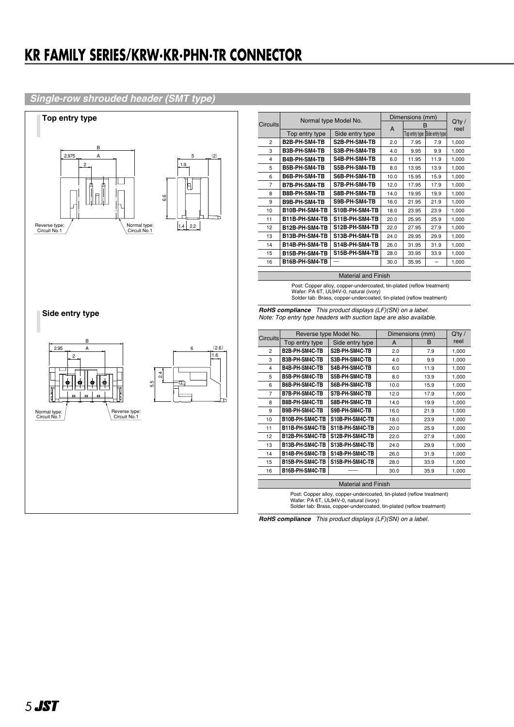## **KR FAMILY SERIES/KRW·KR·PHN·TR CONNECTOR**

#### Single-row shrouded header (SMT type)



|                 | Normal type Model No.  |                                                                                                                                                                                         | Dimensions (mm) |                 |                                | $Q'$ ty / |
|-----------------|------------------------|-----------------------------------------------------------------------------------------------------------------------------------------------------------------------------------------|-----------------|-----------------|--------------------------------|-----------|
| <b>Circuits</b> |                        |                                                                                                                                                                                         | A               |                 | B                              | reel      |
|                 | Top entry type         | Side entry type                                                                                                                                                                         |                 |                 | Top entry type Side entry type |           |
| $\overline{2}$  | B2B-PH-SM4-TB          | S2B-PH-SM4-TB                                                                                                                                                                           | 2.0             | 7.95            | 7.9                            | 1,000     |
| 3               | B3B-PH-SM4-TB          | S3B-PH-SM4-TB                                                                                                                                                                           | 4.0             | 9.95            | 9.9                            | 1.000     |
| 4               | B4B-PH-SM4-TB          | S4B-PH-SM4-TB                                                                                                                                                                           | 6.0             | 11.95           | 11.9                           | 1,000     |
| 5               | B5B-PH-SM4-TB          | S5B-PH-SM4-TB                                                                                                                                                                           | 8.0             | 13.95           | 13.9                           | 1,000     |
| 6               | B6B-PH-SM4-TB          | S6B-PH-SM4-TB                                                                                                                                                                           | 10.0            | 15.95           | 15.9                           | 1,000     |
| $\overline{7}$  | B7B-PH-SM4-TB          | S7B-PH-SM4-TB                                                                                                                                                                           | 12.0            | 17.95           | 17.9                           | 1,000     |
| 8               | B8B-PH-SM4-TB          | S8B-PH-SM4-TB                                                                                                                                                                           | 14.0            | 19.95           | 19.9                           | 1,000     |
| 9               | B9B-PH-SM4-TB          | S9B-PH-SM4-TB                                                                                                                                                                           | 16.0            | 21.95           | 21.9                           | 1,000     |
| 10              | B10B-PH-SM4-TB         | S10B-PH-SM4-TB                                                                                                                                                                          | 18.0            | 23.95           | 23.9                           | 1.000     |
| 11              | B11B-PH-SM4-TB         | S11B-PH-SM4-TB                                                                                                                                                                          | 20.0            | 25.95           | 25.9                           | 1.000     |
| 12              | B12B-PH-SM4-TB         | S12B-PH-SM4-TB                                                                                                                                                                          | 22.0            | 27.95           | 27.9                           | 1,000     |
| 13              | B13B-PH-SM4-TB         | S13B-PH-SM4-TB                                                                                                                                                                          | 24.0            | 29.95           | 29.9                           | 1,000     |
| 14              | B14B-PH-SM4-TB         | S14B-PH-SM4-TB                                                                                                                                                                          | 26.0            | 31.95           | 31.9                           | 1.000     |
| 15              | B15B-PH-SM4-TB         | S15B-PH-SM4-TB                                                                                                                                                                          | 28.0            | 33.95           | 33.9                           | 1,000     |
| 16              | B16B-PH-SM4-TB         |                                                                                                                                                                                         | 30.0            | 35.95           |                                | 1,000     |
|                 |                        |                                                                                                                                                                                         |                 |                 |                                |           |
|                 |                        | <b>Material and Finish</b>                                                                                                                                                              |                 |                 |                                |           |
|                 |                        | Post: Copper alloy, copper-undercoated, tin-plated (reflow treatment)<br>Wafer: PA 6T, UL94V-0, natural (ivory)<br>Solder tab: Brass, copper-undercoated, tin-plated (reflow treatment) |                 |                 |                                |           |
|                 | <b>RoHS compliance</b> | This product displays (LF)(SN) on a label.<br>Note: Top entry type headers with suction tape are also available.                                                                        |                 |                 |                                |           |
| <b>Circuits</b> | Reverse type Model No. |                                                                                                                                                                                         |                 | Dimensions (mm) |                                | $Q'$ ty / |
|                 | Top entry type         | Side entry type                                                                                                                                                                         | A               |                 | <sub>B</sub>                   | reel      |
| $\overline{c}$  | B2B-PH-SM4C-TB         | S2B-PH-SM4C-TB                                                                                                                                                                          | 2.0             |                 | 7.9                            | 1,000     |
| 3               | B3B-PH-SM4C-TB         | S3B-PH-SM4C-TB                                                                                                                                                                          | 4.0             |                 | 9.9                            | 1,000     |
| 4               | B4B-PH-SM4C-TB         | S4B-PH-SM4C-TB                                                                                                                                                                          | 6.0             |                 | 11.9                           | 1,000     |
| 5               | B5B-PH-SM4C-TB         | S5B-PH-SM4C-TB                                                                                                                                                                          | 8.0             |                 | 13.9                           | 1.000     |

 $10.0$ 

 $\frac{1}{12.0}$ 

 $14.0$ 

16.0

 $18.0$ 

 $20.0$ 

 $22.0$ 

 $24.0$ 

 $26.0$ 

28.0

 $30.0$ 

 $15.9$ 

 $\frac{17.9}{x}$ 

 $19.9$ 

 $21.9$ 

 $23.9$ 

 $25.9$ 

 $27.9$ 

29.9

 $31.9$ 

33.9

 $35.9$ 

 $1,000$ 

 $1.000$ 

 $1,000$ 

1,000

 $1,000$ 

 $1,000$ 

 $1,000$ 

 $1,000$ 

 $1,000$ 

1,000

 $1,000$ 

RoHS compliance This product displays (LF)(SN) on a label.

**Material and Finish** Post: Copper alloy, copper-undercoated, tin-plated (reflow treatment) Vafer: PA 6T, UL94V-0, natural (ivory)<br>Solder tab: Brass, copper-undercoated, tin-plated (reflow treatment)

B6B-PH-SM4C-TB S6B-PH-SM4C-TB

B9B-PH-SM4C-TB S9B-PH-SM4C-TB

B10B-PH-SM4C-TB S10B-PH-SM4C-TB

B11B-PH-SM4C-TB S11B-PH-SM4C-TB

B12B-PH-SM4C-TB S12B-PH-SM4C-TB

B13B-PH-SM4C-TB S13B-PH-SM4C-TB

B14B-PH-SM4C-TB S14B-PH-SM4C-TB

B15B-PH-SM4C-TB S15B-PH-SM4C-TB

S7B-PH-SM4C-TB

S8B-PH-SM4C-TB

B7B-PH-SM4C-TB

B8B-PH-SM4C-TB

B16B-PH-SM4C-TB

 $\overline{6}$ 

 $\overline{7}$ 

 $\overline{\mathbf{8}}$ 

 $\alpha$ 

 $\overline{10}$ 

 $\overline{11}$ 

 $\overline{12}$ 

 $13\,$ 

 $14$ 15

 $\overline{16}$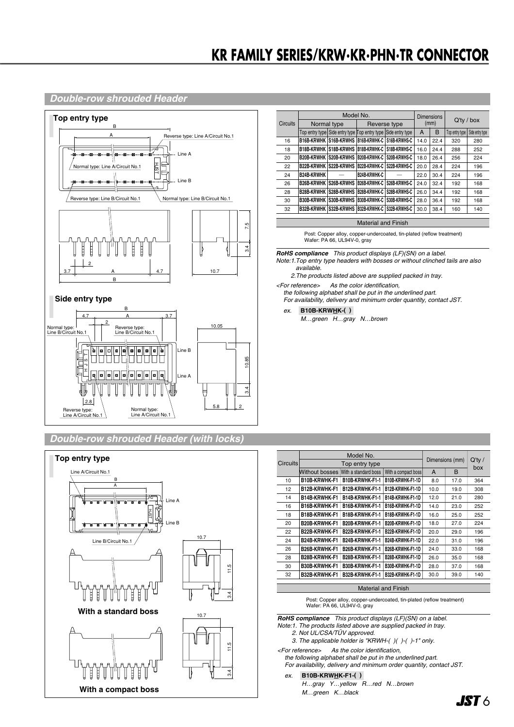## **KR FAMILY SERIES/KRW・KR・PHN・TR CONNECTOR**

#### *Double-row shrouded Header*



*Double-row shrouded Header (with locks)*



|                 | Model No.                  |                                                               | <b>Dimensions</b>   |                                  |      | $Q'$ ty / box |                |                 |  |
|-----------------|----------------------------|---------------------------------------------------------------|---------------------|----------------------------------|------|---------------|----------------|-----------------|--|
| <b>Circuits</b> |                            | Normal type                                                   |                     | Reverse type                     |      | (mm)          |                |                 |  |
|                 |                            | Top entry type Side entry type Top entry type Side entry type |                     |                                  | A    | B             | Top entry type | Side entry type |  |
| 16              |                            | B16B-KRWHK S16B-KRWHS                                         |                     | <b>B16B-KRWHK-C S16B-KRWHS-C</b> | 14.0 | 22.4          | 320            | 280             |  |
| 18              | <b>B18B-KRWHK</b>          | S18B-KRWHS                                                    |                     | <b>B18B-KRWHK-C S18B-KRWHS-C</b> | 16.0 | 24.4          | 288            | 252             |  |
| 20              | <b>B20B-KRWHK</b>          | S20B-KRWHS                                                    |                     | B20B-KRWHK-C   S20B-KRWHS-C      | 18.0 | 26.4          | 256            | 224             |  |
| 22              | <b>B22B-KRWHK</b>          | S22B-KRWHS                                                    | <b>B22B-KRWHK-C</b> | S22B-KRWHS-C                     | 20.0 | 28.4          | 224            | 196             |  |
| 24              | <b>B24B-KRWHK</b>          |                                                               | B24B-KRWHK-C        |                                  | 22.0 | 30.4          | 224            | 196             |  |
| 26              | <b>B26B-KRWHK</b>          | S26B-KRWHS                                                    | <b>B26B-KRWHK-C</b> | S26B-KRWHS-C                     | 24.0 | 32.4          | 192            | 168             |  |
| 28              | <b>B28B-KRWHK</b>          | S28B-KRWHS                                                    |                     | B28B-KRWHK-C S28B-KRWHS-C        | 26.0 | 34.4          | 192            | 168             |  |
| 30              | <b>B30B-KRWHK</b>          | S30B-KRWHS                                                    | <b>B30B-KRWHK-C</b> | S30B-KRWHS-C                     | 28.0 | 36.4          | 192            | 168             |  |
| 32              | <b>B32B-KRWHK</b>          | S32B-KRWHS                                                    |                     | B32B-KRWHK-C S32B-KRWHS-C        | 30.0 | 38.4          | 160            | 140             |  |
|                 |                            |                                                               |                     |                                  |      |               |                |                 |  |
|                 | <b>Material and Finish</b> |                                                               |                     |                                  |      |               |                |                 |  |

Post: Copper alloy, copper-undercoated, tin-plated (reflow treatment) Wafer: PA 66, UL94V-0, gray

*RoHS compliance This product displays (LF)(SN) on a label. Note:1.Top entry type headers with bosses or without clinched tails are also available.*

*2.The products listed above are supplied packed in tray.*

*<For reference> As the color identification,* 

*the following alphabet shall be put in the underlined part. For availability, delivery and minimum order quantity, contact JST.*

*ex.* **B10B-KRWHK-( )-**

*M…green H…gray N…brown*

|                 | Model No.             |                      | Dimensions (mm)     |      |      |                  |
|-----------------|-----------------------|----------------------|---------------------|------|------|------------------|
| <b>Circuits</b> |                       | Top entry type       |                     |      |      | $Q'$ ty /<br>box |
|                 | <b>Without bosses</b> | With a standard boss | With a compact boss | A    | B    |                  |
| 10              | <b>B10B-KRWHK-F1</b>  | B10B-KRWHK-F1-1      | B10B-KRWHK-F1-1D    | 8.0  | 17.0 | 364              |
| 12              | B12B-KRWHK-F1         | B12B-KRWHK-F1-1      | B12B-KRWHK-F1-1D    | 10.0 | 19.0 | 308              |
| 14              | B14B-KRWHK-F1         | B14B-KRWHK-F1-1      | B14B-KRWHK-F1-1D    | 12.0 | 21.0 | 280              |
| 16              | B16B-KRWHK-F1         | B16B-KRWHK-F1-1      | B16B-KRWHK-F1-1D    | 14.0 | 23.0 | 252              |
| 18              | B18B-KRWHK-F1         | B18B-KRWHK-F1-1      | B18B-KRWHK-F1-1D    | 16.0 | 25.0 | 252              |
| 20              | B20B-KRWHK-F1         | B20B-KRWHK-F1-1      | B20B-KRWHK-F1-1D    | 18.0 | 27.0 | 224              |
| 22              | B22B-KRWHK-F1         | B22B-KRWHK-F1-1      | B22B-KRWHK-F1-1D    | 20.0 | 29.0 | 196              |
| 24              | B24B-KRWHK-F1         | B24B-KRWHK-F1-1      | B24B-KRWHK-F1-1D    | 22.0 | 31.0 | 196              |
| 26              | B26B-KRWHK-F1         | B26B-KRWHK-F1-1      | B26B-KRWHK-F1-1D    | 24.0 | 33.0 | 168              |
| 28              | B28B-KRWHK-F1         | B28B-KRWHK-F1-1      | B28B-KRWHK-F1-1D    | 26.0 | 35.0 | 168              |
| 30              | B30B-KRWHK-F1         | B30B-KRWHK-F1-1      | B30B-KRWHK-F1-1D    | 28.0 | 37.0 | 168              |
| 32              | B32B-KRWHK-F1         | B32B-KRWHK-F1-1      | B32B-KRWHK-F1-1D    | 30.0 | 39.0 | 140              |

Material and Finish

Post: Copper alloy, copper-undercoated, tin-plated (reflow treatment) Wafer: PA 66, UL94V-0, gray

*RoHS compliance This product displays (LF)(SN) on a label. Note:1. The products listed above are supplied packed in tray.*

*2. Not UL/CSA/TÜV approved. 3. The applicable holder is "KRWH-( )( )-( )-1" only.*

*<For reference> As the color identification,* 

*the following alphabet shall be put in the underlined part. For availability, delivery and minimum order quantity, contact JST.*

#### *ex.* **B10B-KRWHK-F1-( )-**

*H…gray Y…yellow R…red N…brown M…green K…black*

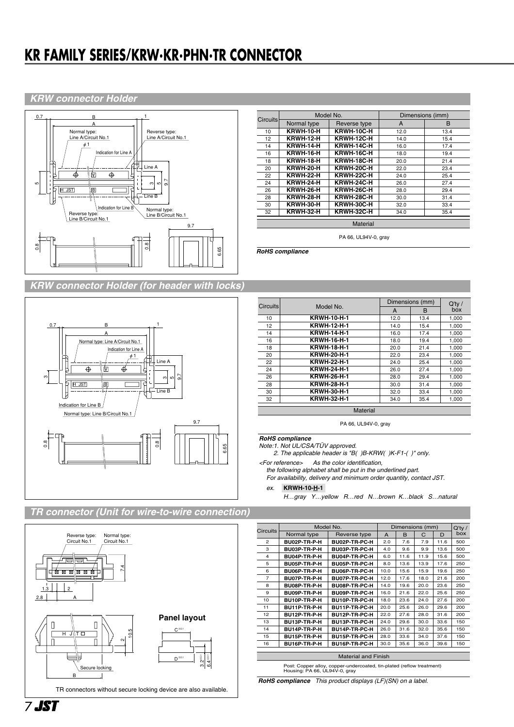## **KR FAMILY SERIES/KRW·KR·PHN·TR CONNECTOR**

#### **KRW connector Holder**



| <b>KRW connector Holder (for header with locks)</b> |  |  |
|-----------------------------------------------------|--|--|
|                                                     |  |  |
|                                                     |  |  |



|                 |                  | Model No.    | Dimensions (imm) |      |
|-----------------|------------------|--------------|------------------|------|
| <b>Circuits</b> | Normal type      | Reverse type | A                | B    |
| 10              | KRWH-10-H        | KRWH-10C-H   | 12.0             | 13.4 |
| 12              | <b>KRWH-12-H</b> | KRWH-12C-H   | 14.0             | 15.4 |
| 14              | KRWH-14-H        | KRWH-14C-H   | 16.0             | 17.4 |
| 16              | KRWH-16-H        | KRWH-16C-H   | 18.0             | 19.4 |
| 18              | KRWH-18-H        | KRWH-18C-H   | 20.0             | 21.4 |
| 20              | KRWH-20-H        | KRWH-20C-H   | 22.0             | 23.4 |
| 22              | KRWH-22-H        | KRWH-22C-H   | 24.0             | 25.4 |
| 24              | KRWH-24-H        | KRWH-24C-H   | 26.0             | 27.4 |
| 26              | KRWH-26-H        | KRWH-26C-H   | 28.0             | 29.4 |
| 28              | KRWH-28-H        | KRWH-28C-H   | 30.0             | 31.4 |
| 30              | KRWH-30-H        | KRWH-30C-H   | 32.0             | 33.4 |
| 32              | KRWH-32-H        | KRWH-32C-H   | 34.0             | 35.4 |

PA 66, UL94V-0, gray

RoHS compliance

| <b>Circuits</b> |                    | Dimensions (mm) | $Q'$ ty / |       |  |  |  |
|-----------------|--------------------|-----------------|-----------|-------|--|--|--|
|                 | Model No.          | A               | в         | box   |  |  |  |
| 10              | <b>KRWH-10-H-1</b> | 12.0            | 13.4      | 1,000 |  |  |  |
| 12              | <b>KRWH-12-H-1</b> | 14.0            | 15.4      | 1,000 |  |  |  |
| 14              | <b>KRWH-14-H-1</b> | 16.0            | 17.4      | 1.000 |  |  |  |
| 16              | <b>KRWH-16-H-1</b> | 18.0            | 19.4      | 1.000 |  |  |  |
| 18              | <b>KRWH-18-H-1</b> | 20.0            | 21.4      | 1.000 |  |  |  |
| 20              | <b>KRWH-20-H-1</b> | 22.0            | 23.4      | 1.000 |  |  |  |
| 22              | <b>KRWH-22-H-1</b> | 24.0            | 25.4      | 1.000 |  |  |  |
| 24              | <b>KRWH-24-H-1</b> | 26.0            | 27.4      | 1.000 |  |  |  |
| 26              | <b>KRWH-26-H-1</b> | 28.0            | 29.4      | 1,000 |  |  |  |
| 28              | <b>KRWH-28-H-1</b> | 30.0            | 31.4      | 1,000 |  |  |  |
| 30              | <b>KRWH-30-H-1</b> | 32.0            | 33.4      | 1,000 |  |  |  |
| 32              | <b>KRWH-32-H-1</b> | 34.0            | 35.4      | 1.000 |  |  |  |
|                 | Material           |                 |           |       |  |  |  |

PA 66, UL94V-0, gray

**RoHS** compliance

Note:1. Not UL/CSA/TÜV approved.

2. The applicable header is "B( )B-KRW( )K-F1-( )" only.

<For reference> As the color identification, the following alphabet shall be put in the underlined part. For availability, delivery and minimum order quantity, contact JST.

#### ex. KRWH-10-H-1

H...gray Y...yellow R...red N...brown K...black S...natural

#### TR connector (Unit for wire-to-wire connection)



| <b>Circuits</b>            | Model No.    |               | Dimensions (mm) |      |      |      | $Q'$ ty / |  |  |
|----------------------------|--------------|---------------|-----------------|------|------|------|-----------|--|--|
|                            | Normal type  | Reverse type  | A               | B    | C    | D    | box       |  |  |
| $\mathfrak{p}$             | BU02P-TR-P-H | BU02P-TR-PC-H | 2.0             | 7.6  | 7.9  | 11.6 | 500       |  |  |
| 3                          | BU03P-TR-P-H | BU03P-TR-PC-H | 4.0             | 9.6  | 9.9  | 13.6 | 500       |  |  |
| 4                          | BU04P-TR-P-H | BU04P-TR-PC-H | 6.0             | 11.6 | 11.9 | 15.6 | 500       |  |  |
| 5                          | BU05P-TR-P-H | BU05P-TR-PC-H | 8.0             | 13.6 | 13.9 | 17.6 | 250       |  |  |
| 6                          | BU06P-TR-P-H | BU06P-TR-PC-H | 10.0            | 15.6 | 15.9 | 19.6 | 250       |  |  |
| 7                          | BU07P-TR-P-H | BU07P-TR-PC-H | 12.0            | 17.6 | 18.0 | 21.6 | 200       |  |  |
| 8                          | BU08P-TR-P-H | BU08P-TR-PC-H | 14.0            | 19.6 | 20.0 | 23.6 | 250       |  |  |
| 9                          | BU09P-TR-P-H | BU09P-TR-PC-H | 16.0            | 21.6 | 22.0 | 25.6 | 250       |  |  |
| 10                         | BU10P-TR-P-H | BU10P-TR-PC-H | 18.0            | 23.6 | 24.0 | 27.6 | 200       |  |  |
| 11                         | BU11P-TR-P-H | BU11P-TR-PC-H | 20.0            | 25.6 | 26.0 | 29.6 | 200       |  |  |
| 12                         | BU12P-TR-P-H | BU12P-TR-PC-H | 22.0            | 27.6 | 28.0 | 31.6 | 200       |  |  |
| 13                         | BU13P-TR-P-H | BU13P-TR-PC-H | 24.0            | 29.6 | 30.0 | 33.6 | 150       |  |  |
| 14                         | BU14P-TR-P-H | BU14P-TR-PC-H | 26.0            | 31.6 | 32.0 | 35.6 | 150       |  |  |
| 15                         | BU15P-TR-P-H | BU15P-TR-PC-H | 28.0            | 33.6 | 34.0 | 37.6 | 150       |  |  |
| 16                         | BU16P-TR-P-H | BU16P-TR-PC-H | 30.0            | 35.6 | 36.0 | 39.6 | 150       |  |  |
|                            |              |               |                 |      |      |      |           |  |  |
| <b>Material and Finish</b> |              |               |                 |      |      |      |           |  |  |

Post: Copper alloy, copper-undercoated, tin-plated (reflow treatment)<br>Housing: PA 66, UL94V-0, gray

RoHS compliance This product displays (LF)(SN) on a label.